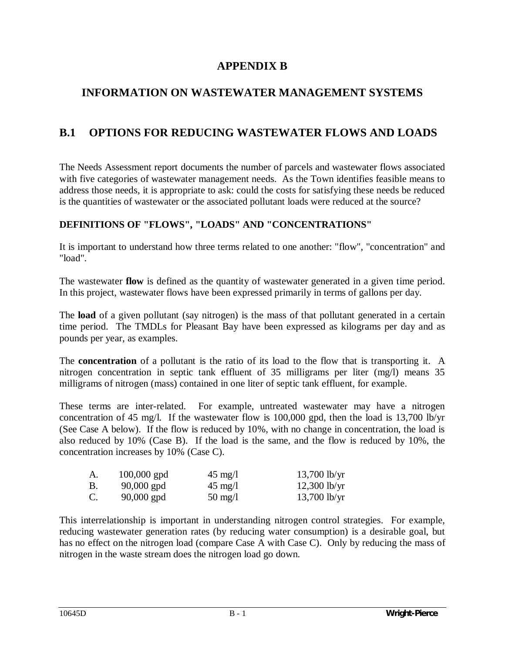# **APPENDIX B**

# **INFORMATION ON WASTEWATER MANAGEMENT SYSTEMS**

# **B.1 OPTIONS FOR REDUCING WASTEWATER FLOWS AND LOADS**

The Needs Assessment report documents the number of parcels and wastewater flows associated with five categories of wastewater management needs. As the Town identifies feasible means to address those needs, it is appropriate to ask: could the costs for satisfying these needs be reduced is the quantities of wastewater or the associated pollutant loads were reduced at the source?

## **DEFINITIONS OF "FLOWS", "LOADS" AND "CONCENTRATIONS"**

It is important to understand how three terms related to one another: "flow", "concentration" and "load".

The wastewater **flow** is defined as the quantity of wastewater generated in a given time period. In this project, wastewater flows have been expressed primarily in terms of gallons per day.

The **load** of a given pollutant (say nitrogen) is the mass of that pollutant generated in a certain time period. The TMDLs for Pleasant Bay have been expressed as kilograms per day and as pounds per year, as examples.

The **concentration** of a pollutant is the ratio of its load to the flow that is transporting it. A nitrogen concentration in septic tank effluent of 35 milligrams per liter (mg/l) means 35 milligrams of nitrogen (mass) contained in one liter of septic tank effluent, for example.

These terms are inter-related. For example, untreated wastewater may have a nitrogen concentration of 45 mg/l. If the wastewater flow is 100,000 gpd, then the load is 13,700 lb/yr (See Case A below). If the flow is reduced by 10%, with no change in concentration, the load is also reduced by 10% (Case B). If the load is the same, and the flow is reduced by 10%, the concentration increases by 10% (Case C).

| A. | $100,000$ gpd | $45 \text{ mg}/l$ | $13,700$ lb/yr |
|----|---------------|-------------------|----------------|
| В. | $90,000$ gpd  | $45 \text{ mg/l}$ | $12,300$ lb/yr |
| C. | $90,000$ gpd  | $50 \text{ mg/l}$ | $13,700$ lb/yr |

This interrelationship is important in understanding nitrogen control strategies. For example, reducing wastewater generation rates (by reducing water consumption) is a desirable goal, but has no effect on the nitrogen load (compare Case A with Case C). Only by reducing the mass of nitrogen in the waste stream does the nitrogen load go down.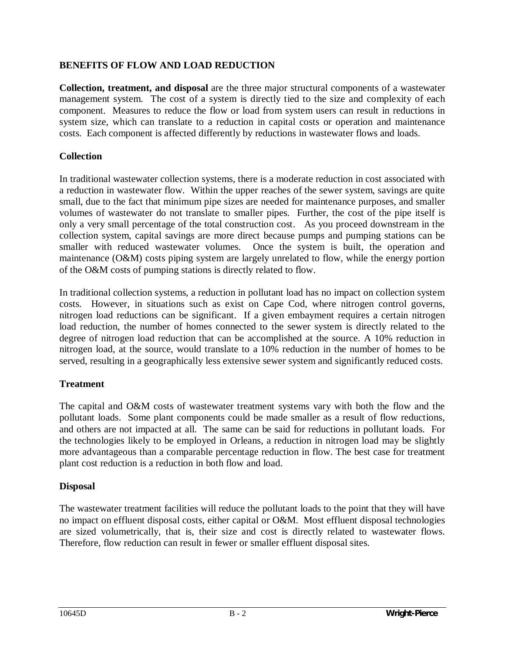## **BENEFITS OF FLOW AND LOAD REDUCTION**

**Collection, treatment, and disposal** are the three major structural components of a wastewater management system. The cost of a system is directly tied to the size and complexity of each component. Measures to reduce the flow or load from system users can result in reductions in system size, which can translate to a reduction in capital costs or operation and maintenance costs. Each component is affected differently by reductions in wastewater flows and loads.

## **Collection**

In traditional wastewater collection systems, there is a moderate reduction in cost associated with a reduction in wastewater flow. Within the upper reaches of the sewer system, savings are quite small, due to the fact that minimum pipe sizes are needed for maintenance purposes, and smaller volumes of wastewater do not translate to smaller pipes. Further, the cost of the pipe itself is only a very small percentage of the total construction cost. As you proceed downstream in the collection system, capital savings are more direct because pumps and pumping stations can be smaller with reduced wastewater volumes. Once the system is built, the operation and maintenance (O&M) costs piping system are largely unrelated to flow, while the energy portion of the O&M costs of pumping stations is directly related to flow.

In traditional collection systems, a reduction in pollutant load has no impact on collection system costs. However, in situations such as exist on Cape Cod, where nitrogen control governs, nitrogen load reductions can be significant. If a given embayment requires a certain nitrogen load reduction, the number of homes connected to the sewer system is directly related to the degree of nitrogen load reduction that can be accomplished at the source. A 10% reduction in nitrogen load, at the source, would translate to a 10% reduction in the number of homes to be served, resulting in a geographically less extensive sewer system and significantly reduced costs.

## **Treatment**

The capital and O&M costs of wastewater treatment systems vary with both the flow and the pollutant loads. Some plant components could be made smaller as a result of flow reductions, and others are not impacted at all. The same can be said for reductions in pollutant loads. For the technologies likely to be employed in Orleans, a reduction in nitrogen load may be slightly more advantageous than a comparable percentage reduction in flow. The best case for treatment plant cost reduction is a reduction in both flow and load.

## **Disposal**

The wastewater treatment facilities will reduce the pollutant loads to the point that they will have no impact on effluent disposal costs, either capital or O&M. Most effluent disposal technologies are sized volumetrically, that is, their size and cost is directly related to wastewater flows. Therefore, flow reduction can result in fewer or smaller effluent disposal sites.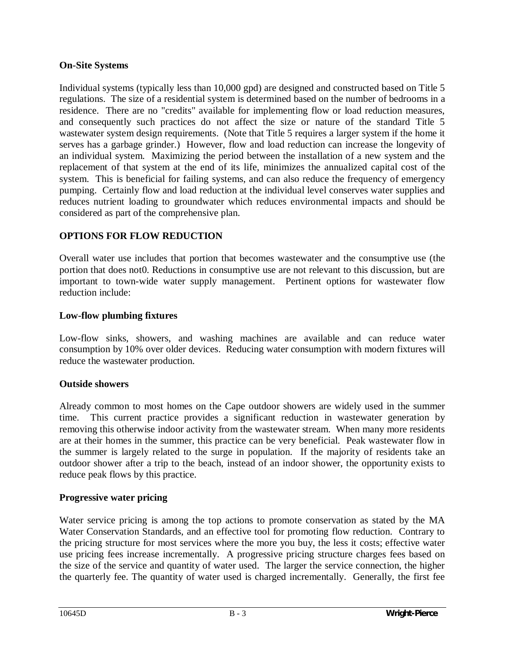## **On-Site Systems**

Individual systems (typically less than 10,000 gpd) are designed and constructed based on Title 5 regulations. The size of a residential system is determined based on the number of bedrooms in a residence. There are no "credits" available for implementing flow or load reduction measures, and consequently such practices do not affect the size or nature of the standard Title 5 wastewater system design requirements. (Note that Title 5 requires a larger system if the home it serves has a garbage grinder.) However, flow and load reduction can increase the longevity of an individual system. Maximizing the period between the installation of a new system and the replacement of that system at the end of its life, minimizes the annualized capital cost of the system. This is beneficial for failing systems, and can also reduce the frequency of emergency pumping. Certainly flow and load reduction at the individual level conserves water supplies and reduces nutrient loading to groundwater which reduces environmental impacts and should be considered as part of the comprehensive plan.

## **OPTIONS FOR FLOW REDUCTION**

Overall water use includes that portion that becomes wastewater and the consumptive use (the portion that does not0. Reductions in consumptive use are not relevant to this discussion, but are important to town-wide water supply management. Pertinent options for wastewater flow reduction include:

## **Low-flow plumbing fixtures**

Low-flow sinks, showers, and washing machines are available and can reduce water consumption by 10% over older devices. Reducing water consumption with modern fixtures will reduce the wastewater production.

#### **Outside showers**

Already common to most homes on the Cape outdoor showers are widely used in the summer time. This current practice provides a significant reduction in wastewater generation by removing this otherwise indoor activity from the wastewater stream. When many more residents are at their homes in the summer, this practice can be very beneficial. Peak wastewater flow in the summer is largely related to the surge in population. If the majority of residents take an outdoor shower after a trip to the beach, instead of an indoor shower, the opportunity exists to reduce peak flows by this practice.

#### **Progressive water pricing**

Water service pricing is among the top actions to promote conservation as stated by the MA Water Conservation Standards, and an effective tool for promoting flow reduction. Contrary to the pricing structure for most services where the more you buy, the less it costs; effective water use pricing fees increase incrementally. A progressive pricing structure charges fees based on the size of the service and quantity of water used. The larger the service connection, the higher the quarterly fee. The quantity of water used is charged incrementally. Generally, the first fee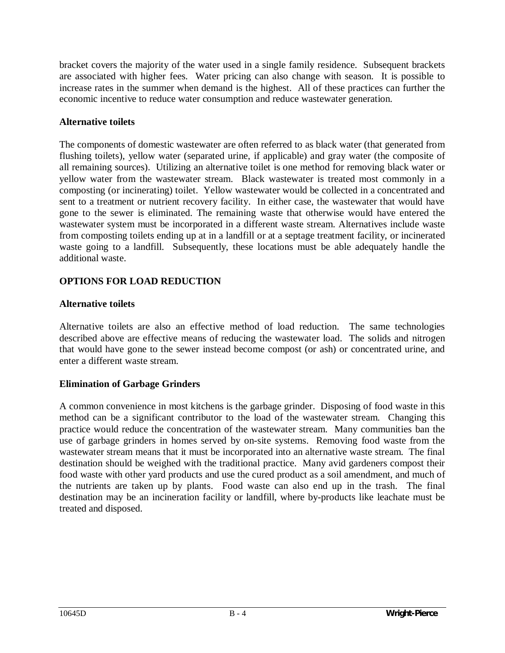bracket covers the majority of the water used in a single family residence. Subsequent brackets are associated with higher fees. Water pricing can also change with season. It is possible to increase rates in the summer when demand is the highest. All of these practices can further the economic incentive to reduce water consumption and reduce wastewater generation.

## **Alternative toilets**

The components of domestic wastewater are often referred to as black water (that generated from flushing toilets), yellow water (separated urine, if applicable) and gray water (the composite of all remaining sources). Utilizing an alternative toilet is one method for removing black water or yellow water from the wastewater stream. Black wastewater is treated most commonly in a composting (or incinerating) toilet. Yellow wastewater would be collected in a concentrated and sent to a treatment or nutrient recovery facility. In either case, the wastewater that would have gone to the sewer is eliminated. The remaining waste that otherwise would have entered the wastewater system must be incorporated in a different waste stream. Alternatives include waste from composting toilets ending up at in a landfill or at a septage treatment facility, or incinerated waste going to a landfill. Subsequently, these locations must be able adequately handle the additional waste.

## **OPTIONS FOR LOAD REDUCTION**

#### **Alternative toilets**

Alternative toilets are also an effective method of load reduction. The same technologies described above are effective means of reducing the wastewater load. The solids and nitrogen that would have gone to the sewer instead become compost (or ash) or concentrated urine, and enter a different waste stream.

## **Elimination of Garbage Grinders**

A common convenience in most kitchens is the garbage grinder. Disposing of food waste in this method can be a significant contributor to the load of the wastewater stream. Changing this practice would reduce the concentration of the wastewater stream. Many communities ban the use of garbage grinders in homes served by on-site systems. Removing food waste from the wastewater stream means that it must be incorporated into an alternative waste stream. The final destination should be weighed with the traditional practice. Many avid gardeners compost their food waste with other yard products and use the cured product as a soil amendment, and much of the nutrients are taken up by plants. Food waste can also end up in the trash. The final destination may be an incineration facility or landfill, where by-products like leachate must be treated and disposed.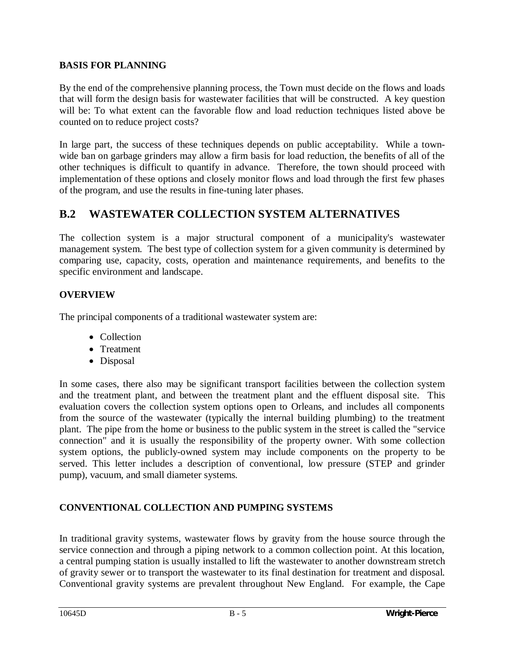## **BASIS FOR PLANNING**

By the end of the comprehensive planning process, the Town must decide on the flows and loads that will form the design basis for wastewater facilities that will be constructed. A key question will be: To what extent can the favorable flow and load reduction techniques listed above be counted on to reduce project costs?

In large part, the success of these techniques depends on public acceptability. While a townwide ban on garbage grinders may allow a firm basis for load reduction, the benefits of all of the other techniques is difficult to quantify in advance. Therefore, the town should proceed with implementation of these options and closely monitor flows and load through the first few phases of the program, and use the results in fine-tuning later phases.

# **B.2 WASTEWATER COLLECTION SYSTEM ALTERNATIVES**

The collection system is a major structural component of a municipality's wastewater management system. The best type of collection system for a given community is determined by comparing use, capacity, costs, operation and maintenance requirements, and benefits to the specific environment and landscape.

## **OVERVIEW**

The principal components of a traditional wastewater system are:

- Collection
- Treatment
- $\bullet$  Disposal

In some cases, there also may be significant transport facilities between the collection system and the treatment plant, and between the treatment plant and the effluent disposal site. This evaluation covers the collection system options open to Orleans, and includes all components from the source of the wastewater (typically the internal building plumbing) to the treatment plant. The pipe from the home or business to the public system in the street is called the "service connection" and it is usually the responsibility of the property owner. With some collection system options, the publicly-owned system may include components on the property to be served. This letter includes a description of conventional, low pressure (STEP and grinder pump), vacuum, and small diameter systems.

## **CONVENTIONAL COLLECTION AND PUMPING SYSTEMS**

In traditional gravity systems, wastewater flows by gravity from the house source through the service connection and through a piping network to a common collection point. At this location, a central pumping station is usually installed to lift the wastewater to another downstream stretch of gravity sewer or to transport the wastewater to its final destination for treatment and disposal. Conventional gravity systems are prevalent throughout New England. For example, the Cape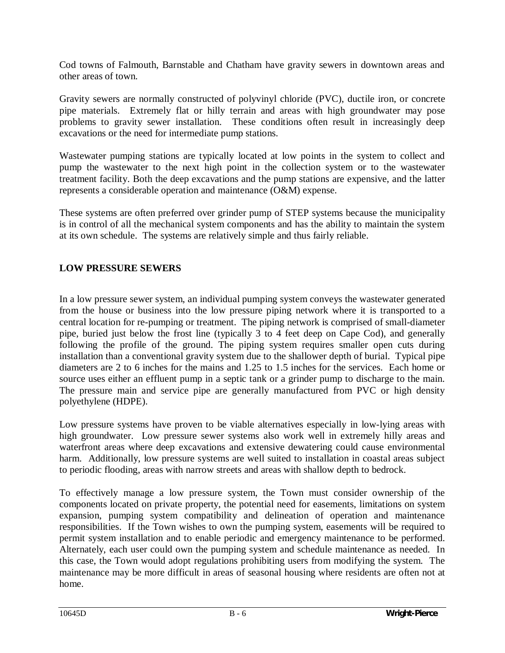Cod towns of Falmouth, Barnstable and Chatham have gravity sewers in downtown areas and other areas of town.

Gravity sewers are normally constructed of polyvinyl chloride (PVC), ductile iron, or concrete pipe materials. Extremely flat or hilly terrain and areas with high groundwater may pose problems to gravity sewer installation. These conditions often result in increasingly deep excavations or the need for intermediate pump stations.

Wastewater pumping stations are typically located at low points in the system to collect and pump the wastewater to the next high point in the collection system or to the wastewater treatment facility. Both the deep excavations and the pump stations are expensive, and the latter represents a considerable operation and maintenance (O&M) expense.

These systems are often preferred over grinder pump of STEP systems because the municipality is in control of all the mechanical system components and has the ability to maintain the system at its own schedule. The systems are relatively simple and thus fairly reliable.

## **LOW PRESSURE SEWERS**

In a low pressure sewer system, an individual pumping system conveys the wastewater generated from the house or business into the low pressure piping network where it is transported to a central location for re-pumping or treatment. The piping network is comprised of small-diameter pipe, buried just below the frost line (typically 3 to 4 feet deep on Cape Cod), and generally following the profile of the ground. The piping system requires smaller open cuts during installation than a conventional gravity system due to the shallower depth of burial. Typical pipe diameters are 2 to 6 inches for the mains and 1.25 to 1.5 inches for the services. Each home or source uses either an effluent pump in a septic tank or a grinder pump to discharge to the main. The pressure main and service pipe are generally manufactured from PVC or high density polyethylene (HDPE).

Low pressure systems have proven to be viable alternatives especially in low-lying areas with high groundwater. Low pressure sewer systems also work well in extremely hilly areas and waterfront areas where deep excavations and extensive dewatering could cause environmental harm. Additionally, low pressure systems are well suited to installation in coastal areas subject to periodic flooding, areas with narrow streets and areas with shallow depth to bedrock.

To effectively manage a low pressure system, the Town must consider ownership of the components located on private property, the potential need for easements, limitations on system expansion, pumping system compatibility and delineation of operation and maintenance responsibilities. If the Town wishes to own the pumping system, easements will be required to permit system installation and to enable periodic and emergency maintenance to be performed. Alternately, each user could own the pumping system and schedule maintenance as needed. In this case, the Town would adopt regulations prohibiting users from modifying the system. The maintenance may be more difficult in areas of seasonal housing where residents are often not at home.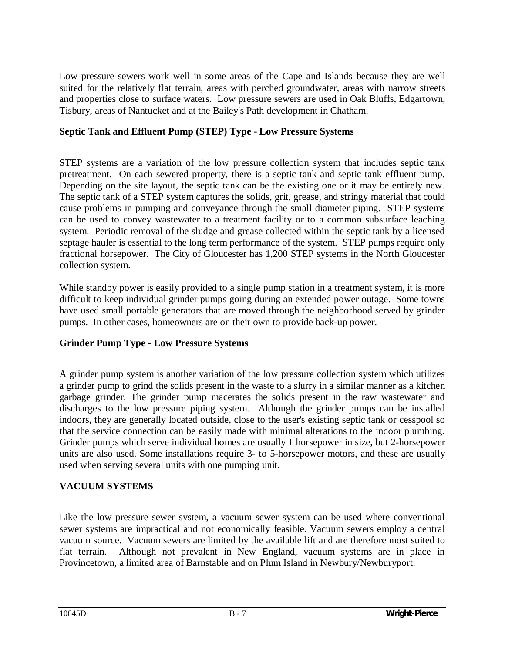Low pressure sewers work well in some areas of the Cape and Islands because they are well suited for the relatively flat terrain, areas with perched groundwater, areas with narrow streets and properties close to surface waters. Low pressure sewers are used in Oak Bluffs, Edgartown, Tisbury, areas of Nantucket and at the Bailey's Path development in Chatham.

## **Septic Tank and Effluent Pump (STEP) Type - Low Pressure Systems**

STEP systems are a variation of the low pressure collection system that includes septic tank pretreatment. On each sewered property, there is a septic tank and septic tank effluent pump. Depending on the site layout, the septic tank can be the existing one or it may be entirely new. The septic tank of a STEP system captures the solids, grit, grease, and stringy material that could cause problems in pumping and conveyance through the small diameter piping. STEP systems can be used to convey wastewater to a treatment facility or to a common subsurface leaching system. Periodic removal of the sludge and grease collected within the septic tank by a licensed septage hauler is essential to the long term performance of the system. STEP pumps require only fractional horsepower. The City of Gloucester has 1,200 STEP systems in the North Gloucester collection system.

While standby power is easily provided to a single pump station in a treatment system, it is more difficult to keep individual grinder pumps going during an extended power outage. Some towns have used small portable generators that are moved through the neighborhood served by grinder pumps. In other cases, homeowners are on their own to provide back-up power.

## **Grinder Pump Type - Low Pressure Systems**

A grinder pump system is another variation of the low pressure collection system which utilizes a grinder pump to grind the solids present in the waste to a slurry in a similar manner as a kitchen garbage grinder. The grinder pump macerates the solids present in the raw wastewater and discharges to the low pressure piping system. Although the grinder pumps can be installed indoors, they are generally located outside, close to the user's existing septic tank or cesspool so that the service connection can be easily made with minimal alterations to the indoor plumbing. Grinder pumps which serve individual homes are usually 1 horsepower in size, but 2-horsepower units are also used. Some installations require 3- to 5-horsepower motors, and these are usually used when serving several units with one pumping unit.

## **VACUUM SYSTEMS**

Like the low pressure sewer system, a vacuum sewer system can be used where conventional sewer systems are impractical and not economically feasible. Vacuum sewers employ a central vacuum source. Vacuum sewers are limited by the available lift and are therefore most suited to flat terrain. Although not prevalent in New England, vacuum systems are in place in Provincetown, a limited area of Barnstable and on Plum Island in Newbury/Newburyport.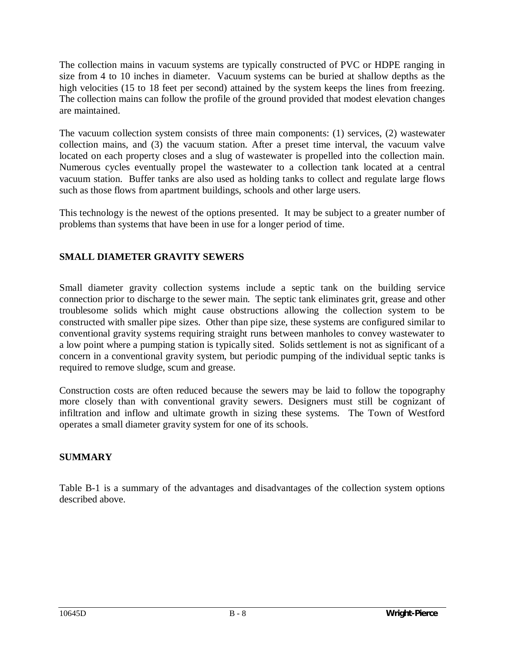The collection mains in vacuum systems are typically constructed of PVC or HDPE ranging in size from 4 to 10 inches in diameter. Vacuum systems can be buried at shallow depths as the high velocities (15 to 18 feet per second) attained by the system keeps the lines from freezing. The collection mains can follow the profile of the ground provided that modest elevation changes are maintained.

The vacuum collection system consists of three main components: (1) services, (2) wastewater collection mains, and (3) the vacuum station. After a preset time interval, the vacuum valve located on each property closes and a slug of wastewater is propelled into the collection main. Numerous cycles eventually propel the wastewater to a collection tank located at a central vacuum station. Buffer tanks are also used as holding tanks to collect and regulate large flows such as those flows from apartment buildings, schools and other large users.

This technology is the newest of the options presented. It may be subject to a greater number of problems than systems that have been in use for a longer period of time.

## **SMALL DIAMETER GRAVITY SEWERS**

Small diameter gravity collection systems include a septic tank on the building service connection prior to discharge to the sewer main. The septic tank eliminates grit, grease and other troublesome solids which might cause obstructions allowing the collection system to be constructed with smaller pipe sizes. Other than pipe size, these systems are configured similar to conventional gravity systems requiring straight runs between manholes to convey wastewater to a low point where a pumping station is typically sited. Solids settlement is not as significant of a concern in a conventional gravity system, but periodic pumping of the individual septic tanks is required to remove sludge, scum and grease.

Construction costs are often reduced because the sewers may be laid to follow the topography more closely than with conventional gravity sewers. Designers must still be cognizant of infiltration and inflow and ultimate growth in sizing these systems. The Town of Westford operates a small diameter gravity system for one of its schools.

## **SUMMARY**

Table B-1 is a summary of the advantages and disadvantages of the collection system options described above.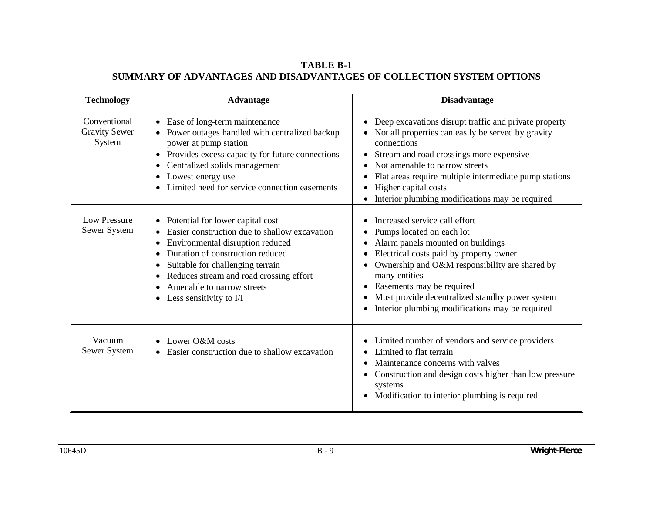**TABLE B-1 SUMMARY OF ADVANTAGES AND DISADVANTAGES OF COLLECTION SYSTEM OPTIONS** 

| <b>Technology</b>                              | <b>Advantage</b>                                                                                                                                                                                                                                                                                  | <b>Disadvantage</b>                                                                                                                                                                                                                                                                                                                                           |
|------------------------------------------------|---------------------------------------------------------------------------------------------------------------------------------------------------------------------------------------------------------------------------------------------------------------------------------------------------|---------------------------------------------------------------------------------------------------------------------------------------------------------------------------------------------------------------------------------------------------------------------------------------------------------------------------------------------------------------|
| Conventional<br><b>Gravity Sewer</b><br>System | Ease of long-term maintenance<br>Power outages handled with centralized backup<br>power at pump station<br>Provides excess capacity for future connections<br>Centralized solids management<br>Lowest energy use<br>Limited need for service connection easements                                 | Deep excavations disrupt traffic and private property<br>Not all properties can easily be served by gravity<br>connections<br>Stream and road crossings more expensive<br>٠<br>Not amenable to narrow streets<br>Flat areas require multiple intermediate pump stations<br>Higher capital costs<br>Interior plumbing modifications may be required            |
| <b>Low Pressure</b><br>Sewer System            | Potential for lower capital cost<br>Easier construction due to shallow excavation<br>Environmental disruption reduced<br>Duration of construction reduced<br>Suitable for challenging terrain<br>Reduces stream and road crossing effort<br>Amenable to narrow streets<br>Less sensitivity to I/I | Increased service call effort<br>Pumps located on each lot<br>Alarm panels mounted on buildings<br>Electrical costs paid by property owner<br>Ownership and O&M responsibility are shared by<br>many entities<br>Easements may be required<br>$\bullet$<br>Must provide decentralized standby power system<br>Interior plumbing modifications may be required |
| Vacuum<br>Sewer System                         | Lower O&M costs<br>Easier construction due to shallow excavation                                                                                                                                                                                                                                  | Limited number of vendors and service providers<br>Limited to flat terrain<br>Maintenance concerns with valves<br>Construction and design costs higher than low pressure<br>systems<br>Modification to interior plumbing is required                                                                                                                          |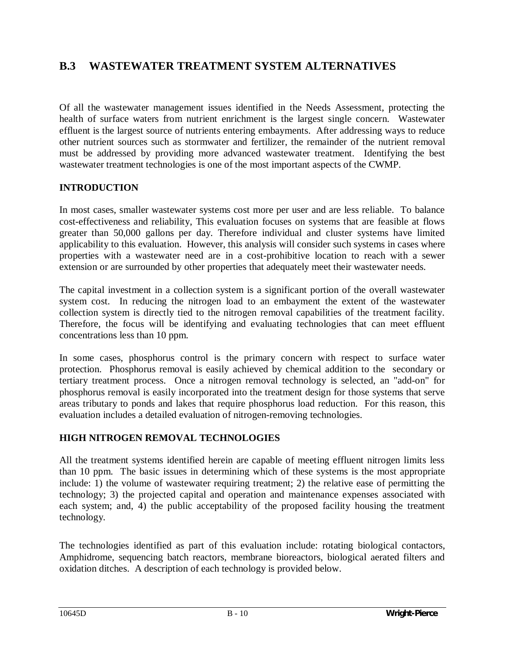# **B.3 WASTEWATER TREATMENT SYSTEM ALTERNATIVES**

Of all the wastewater management issues identified in the Needs Assessment, protecting the health of surface waters from nutrient enrichment is the largest single concern. Wastewater effluent is the largest source of nutrients entering embayments. After addressing ways to reduce other nutrient sources such as stormwater and fertilizer, the remainder of the nutrient removal must be addressed by providing more advanced wastewater treatment. Identifying the best wastewater treatment technologies is one of the most important aspects of the CWMP.

#### **INTRODUCTION**

In most cases, smaller wastewater systems cost more per user and are less reliable. To balance cost-effectiveness and reliability, This evaluation focuses on systems that are feasible at flows greater than 50,000 gallons per day. Therefore individual and cluster systems have limited applicability to this evaluation. However, this analysis will consider such systems in cases where properties with a wastewater need are in a cost-prohibitive location to reach with a sewer extension or are surrounded by other properties that adequately meet their wastewater needs.

The capital investment in a collection system is a significant portion of the overall wastewater system cost. In reducing the nitrogen load to an embayment the extent of the wastewater collection system is directly tied to the nitrogen removal capabilities of the treatment facility. Therefore, the focus will be identifying and evaluating technologies that can meet effluent concentrations less than 10 ppm.

In some cases, phosphorus control is the primary concern with respect to surface water protection. Phosphorus removal is easily achieved by chemical addition to the secondary or tertiary treatment process. Once a nitrogen removal technology is selected, an "add-on" for phosphorus removal is easily incorporated into the treatment design for those systems that serve areas tributary to ponds and lakes that require phosphorus load reduction. For this reason, this evaluation includes a detailed evaluation of nitrogen-removing technologies.

## **HIGH NITROGEN REMOVAL TECHNOLOGIES**

All the treatment systems identified herein are capable of meeting effluent nitrogen limits less than 10 ppm. The basic issues in determining which of these systems is the most appropriate include: 1) the volume of wastewater requiring treatment; 2) the relative ease of permitting the technology; 3) the projected capital and operation and maintenance expenses associated with each system; and, 4) the public acceptability of the proposed facility housing the treatment technology.

The technologies identified as part of this evaluation include: rotating biological contactors, Amphidrome, sequencing batch reactors, membrane bioreactors, biological aerated filters and oxidation ditches. A description of each technology is provided below.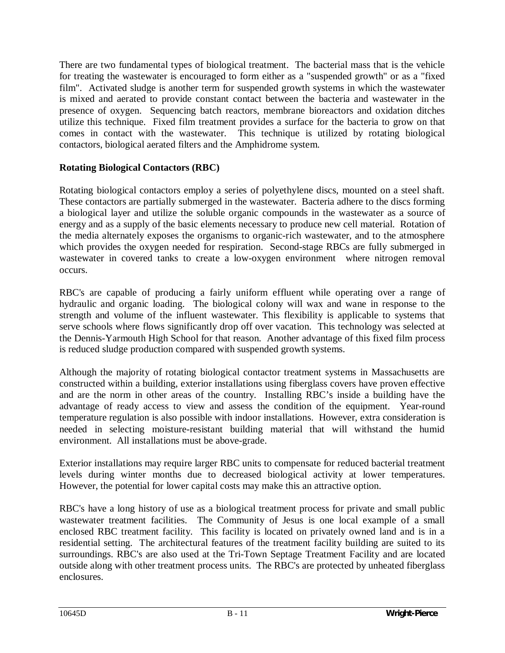There are two fundamental types of biological treatment. The bacterial mass that is the vehicle for treating the wastewater is encouraged to form either as a "suspended growth" or as a "fixed film". Activated sludge is another term for suspended growth systems in which the wastewater is mixed and aerated to provide constant contact between the bacteria and wastewater in the presence of oxygen. Sequencing batch reactors, membrane bioreactors and oxidation ditches utilize this technique. Fixed film treatment provides a surface for the bacteria to grow on that comes in contact with the wastewater. This technique is utilized by rotating biological contactors, biological aerated filters and the Amphidrome system.

## **Rotating Biological Contactors (RBC)**

Rotating biological contactors employ a series of polyethylene discs, mounted on a steel shaft. These contactors are partially submerged in the wastewater. Bacteria adhere to the discs forming a biological layer and utilize the soluble organic compounds in the wastewater as a source of energy and as a supply of the basic elements necessary to produce new cell material. Rotation of the media alternately exposes the organisms to organic-rich wastewater, and to the atmosphere which provides the oxygen needed for respiration. Second-stage RBCs are fully submerged in wastewater in covered tanks to create a low-oxygen environment where nitrogen removal occurs.

RBC's are capable of producing a fairly uniform effluent while operating over a range of hydraulic and organic loading. The biological colony will wax and wane in response to the strength and volume of the influent wastewater. This flexibility is applicable to systems that serve schools where flows significantly drop off over vacation. This technology was selected at the Dennis-Yarmouth High School for that reason. Another advantage of this fixed film process is reduced sludge production compared with suspended growth systems.

Although the majority of rotating biological contactor treatment systems in Massachusetts are constructed within a building, exterior installations using fiberglass covers have proven effective and are the norm in other areas of the country. Installing RBC's inside a building have the advantage of ready access to view and assess the condition of the equipment. Year-round temperature regulation is also possible with indoor installations. However, extra consideration is needed in selecting moisture-resistant building material that will withstand the humid environment. All installations must be above-grade.

Exterior installations may require larger RBC units to compensate for reduced bacterial treatment levels during winter months due to decreased biological activity at lower temperatures. However, the potential for lower capital costs may make this an attractive option.

RBC's have a long history of use as a biological treatment process for private and small public wastewater treatment facilities. The Community of Jesus is one local example of a small enclosed RBC treatment facility. This facility is located on privately owned land and is in a residential setting. The architectural features of the treatment facility building are suited to its surroundings. RBC's are also used at the Tri-Town Septage Treatment Facility and are located outside along with other treatment process units. The RBC's are protected by unheated fiberglass enclosures.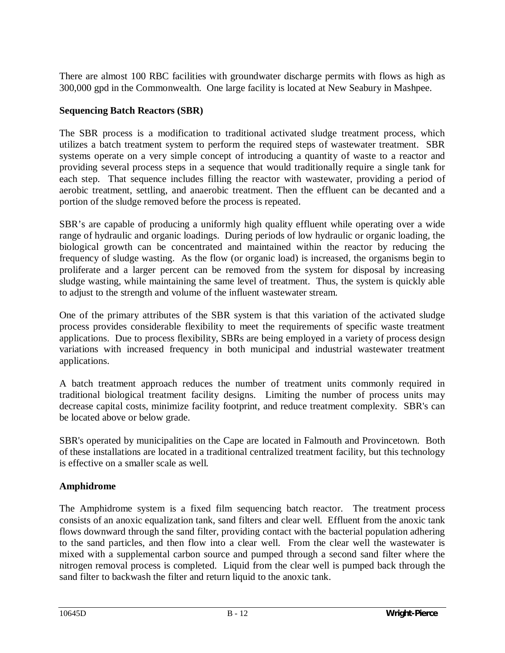There are almost 100 RBC facilities with groundwater discharge permits with flows as high as 300,000 gpd in the Commonwealth. One large facility is located at New Seabury in Mashpee.

## **Sequencing Batch Reactors (SBR)**

The SBR process is a modification to traditional activated sludge treatment process, which utilizes a batch treatment system to perform the required steps of wastewater treatment. SBR systems operate on a very simple concept of introducing a quantity of waste to a reactor and providing several process steps in a sequence that would traditionally require a single tank for each step. That sequence includes filling the reactor with wastewater, providing a period of aerobic treatment, settling, and anaerobic treatment. Then the effluent can be decanted and a portion of the sludge removed before the process is repeated.

SBR's are capable of producing a uniformly high quality effluent while operating over a wide range of hydraulic and organic loadings. During periods of low hydraulic or organic loading, the biological growth can be concentrated and maintained within the reactor by reducing the frequency of sludge wasting. As the flow (or organic load) is increased, the organisms begin to proliferate and a larger percent can be removed from the system for disposal by increasing sludge wasting, while maintaining the same level of treatment. Thus, the system is quickly able to adjust to the strength and volume of the influent wastewater stream.

One of the primary attributes of the SBR system is that this variation of the activated sludge process provides considerable flexibility to meet the requirements of specific waste treatment applications. Due to process flexibility, SBRs are being employed in a variety of process design variations with increased frequency in both municipal and industrial wastewater treatment applications.

A batch treatment approach reduces the number of treatment units commonly required in traditional biological treatment facility designs. Limiting the number of process units may decrease capital costs, minimize facility footprint, and reduce treatment complexity. SBR's can be located above or below grade.

SBR's operated by municipalities on the Cape are located in Falmouth and Provincetown. Both of these installations are located in a traditional centralized treatment facility, but this technology is effective on a smaller scale as well.

## **Amphidrome**

The Amphidrome system is a fixed film sequencing batch reactor. The treatment process consists of an anoxic equalization tank, sand filters and clear well. Effluent from the anoxic tank flows downward through the sand filter, providing contact with the bacterial population adhering to the sand particles, and then flow into a clear well. From the clear well the wastewater is mixed with a supplemental carbon source and pumped through a second sand filter where the nitrogen removal process is completed. Liquid from the clear well is pumped back through the sand filter to backwash the filter and return liquid to the anoxic tank.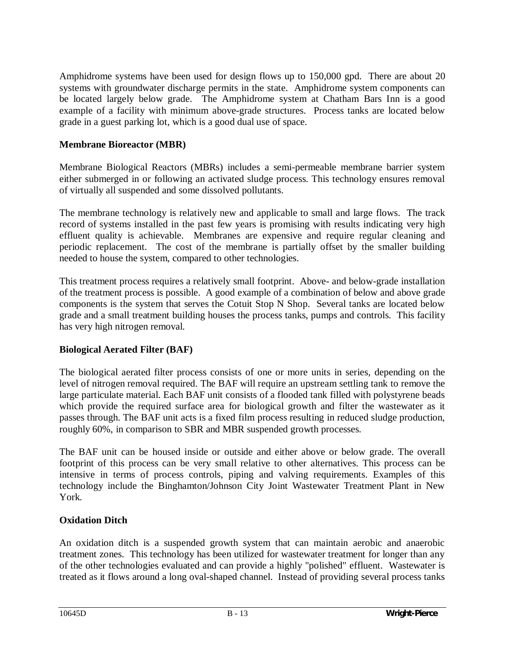Amphidrome systems have been used for design flows up to 150,000 gpd. There are about 20 systems with groundwater discharge permits in the state. Amphidrome system components can be located largely below grade. The Amphidrome system at Chatham Bars Inn is a good example of a facility with minimum above-grade structures. Process tanks are located below grade in a guest parking lot, which is a good dual use of space.

## **Membrane Bioreactor (MBR)**

Membrane Biological Reactors (MBRs) includes a semi-permeable membrane barrier system either submerged in or following an activated sludge process. This technology ensures removal of virtually all suspended and some dissolved pollutants.

The membrane technology is relatively new and applicable to small and large flows. The track record of systems installed in the past few years is promising with results indicating very high effluent quality is achievable. Membranes are expensive and require regular cleaning and periodic replacement. The cost of the membrane is partially offset by the smaller building needed to house the system, compared to other technologies.

This treatment process requires a relatively small footprint. Above- and below-grade installation of the treatment process is possible. A good example of a combination of below and above grade components is the system that serves the Cotuit Stop N Shop. Several tanks are located below grade and a small treatment building houses the process tanks, pumps and controls. This facility has very high nitrogen removal.

## **Biological Aerated Filter (BAF)**

The biological aerated filter process consists of one or more units in series, depending on the level of nitrogen removal required. The BAF will require an upstream settling tank to remove the large particulate material. Each BAF unit consists of a flooded tank filled with polystyrene beads which provide the required surface area for biological growth and filter the wastewater as it passes through. The BAF unit acts is a fixed film process resulting in reduced sludge production, roughly 60%, in comparison to SBR and MBR suspended growth processes.

The BAF unit can be housed inside or outside and either above or below grade. The overall footprint of this process can be very small relative to other alternatives. This process can be intensive in terms of process controls, piping and valving requirements. Examples of this technology include the Binghamton/Johnson City Joint Wastewater Treatment Plant in New York.

#### **Oxidation Ditch**

An oxidation ditch is a suspended growth system that can maintain aerobic and anaerobic treatment zones. This technology has been utilized for wastewater treatment for longer than any of the other technologies evaluated and can provide a highly "polished" effluent. Wastewater is treated as it flows around a long oval-shaped channel. Instead of providing several process tanks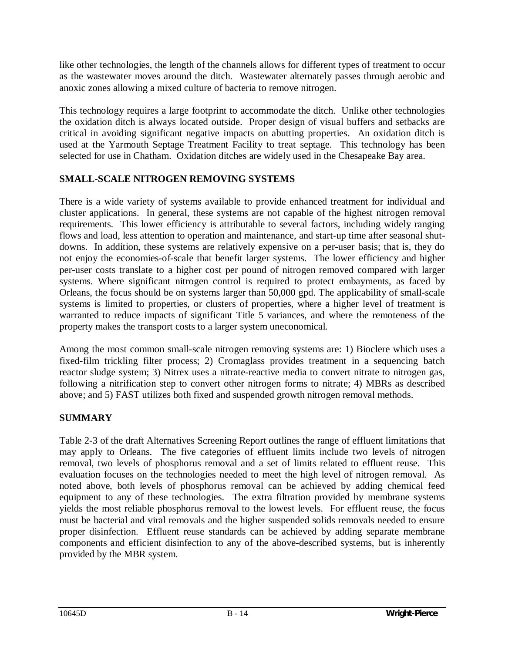like other technologies, the length of the channels allows for different types of treatment to occur as the wastewater moves around the ditch. Wastewater alternately passes through aerobic and anoxic zones allowing a mixed culture of bacteria to remove nitrogen.

This technology requires a large footprint to accommodate the ditch. Unlike other technologies the oxidation ditch is always located outside. Proper design of visual buffers and setbacks are critical in avoiding significant negative impacts on abutting properties. An oxidation ditch is used at the Yarmouth Septage Treatment Facility to treat septage. This technology has been selected for use in Chatham. Oxidation ditches are widely used in the Chesapeake Bay area.

## **SMALL-SCALE NITROGEN REMOVING SYSTEMS**

There is a wide variety of systems available to provide enhanced treatment for individual and cluster applications. In general, these systems are not capable of the highest nitrogen removal requirements. This lower efficiency is attributable to several factors, including widely ranging flows and load, less attention to operation and maintenance, and start-up time after seasonal shutdowns. In addition, these systems are relatively expensive on a per-user basis; that is, they do not enjoy the economies-of-scale that benefit larger systems. The lower efficiency and higher per-user costs translate to a higher cost per pound of nitrogen removed compared with larger systems. Where significant nitrogen control is required to protect embayments, as faced by Orleans, the focus should be on systems larger than 50,000 gpd. The applicability of small-scale systems is limited to properties, or clusters of properties, where a higher level of treatment is warranted to reduce impacts of significant Title 5 variances, and where the remoteness of the property makes the transport costs to a larger system uneconomical.

Among the most common small-scale nitrogen removing systems are: 1) Bioclere which uses a fixed-film trickling filter process; 2) Cromaglass provides treatment in a sequencing batch reactor sludge system; 3) Nitrex uses a nitrate-reactive media to convert nitrate to nitrogen gas, following a nitrification step to convert other nitrogen forms to nitrate; 4) MBRs as described above; and 5) FAST utilizes both fixed and suspended growth nitrogen removal methods.

## **SUMMARY**

Table 2-3 of the draft Alternatives Screening Report outlines the range of effluent limitations that may apply to Orleans. The five categories of effluent limits include two levels of nitrogen removal, two levels of phosphorus removal and a set of limits related to effluent reuse. This evaluation focuses on the technologies needed to meet the high level of nitrogen removal. As noted above, both levels of phosphorus removal can be achieved by adding chemical feed equipment to any of these technologies. The extra filtration provided by membrane systems yields the most reliable phosphorus removal to the lowest levels. For effluent reuse, the focus must be bacterial and viral removals and the higher suspended solids removals needed to ensure proper disinfection. Effluent reuse standards can be achieved by adding separate membrane components and efficient disinfection to any of the above-described systems, but is inherently provided by the MBR system.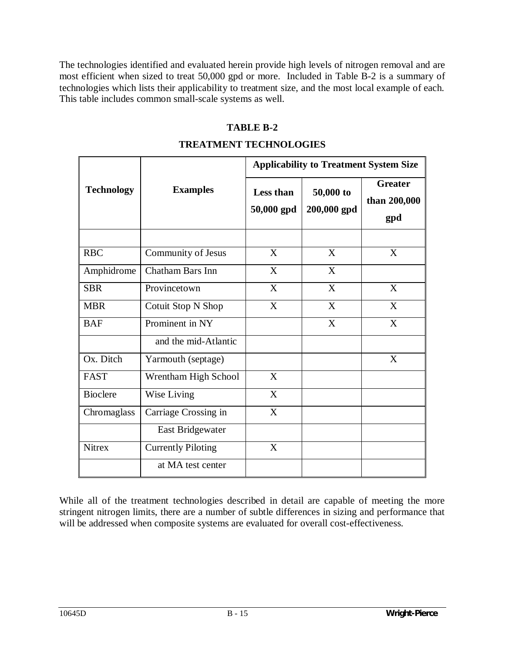The technologies identified and evaluated herein provide high levels of nitrogen removal and are most efficient when sized to treat 50,000 gpd or more. Included in Table B-2 is a summary of technologies which lists their applicability to treatment size, and the most local example of each. This table includes common small-scale systems as well.

#### **TABLE B-2**

#### **TREATMENT TECHNOLOGIES**

|                   | <b>Examples</b>           | <b>Applicability to Treatment System Size</b> |                          |                                       |
|-------------------|---------------------------|-----------------------------------------------|--------------------------|---------------------------------------|
| <b>Technology</b> |                           | <b>Less than</b><br>50,000 gpd                | 50,000 to<br>200,000 gpd | <b>Greater</b><br>than 200,000<br>gpd |
| <b>RBC</b>        | Community of Jesus        | X                                             | X                        | X                                     |
| Amphidrome        | Chatham Bars Inn          | X                                             | X                        |                                       |
| <b>SBR</b>        | Provincetown              | X                                             | X                        | X                                     |
| <b>MBR</b>        | Cotuit Stop N Shop        | $\overline{\text{X}}$                         | X                        | $\overline{\text{X}}$                 |
| <b>BAF</b>        | Prominent in NY           |                                               | X                        | X                                     |
|                   | and the mid-Atlantic      |                                               |                          |                                       |
| Ox. Ditch         | Yarmouth (septage)        |                                               |                          | X                                     |
| <b>FAST</b>       | Wrentham High School      | X                                             |                          |                                       |
| <b>Bioclere</b>   | Wise Living               | X                                             |                          |                                       |
| Chromaglass       | Carriage Crossing in      | X                                             |                          |                                       |
|                   | East Bridgewater          |                                               |                          |                                       |
| <b>Nitrex</b>     | <b>Currently Piloting</b> | X                                             |                          |                                       |
|                   | at MA test center         |                                               |                          |                                       |

While all of the treatment technologies described in detail are capable of meeting the more stringent nitrogen limits, there are a number of subtle differences in sizing and performance that will be addressed when composite systems are evaluated for overall cost-effectiveness.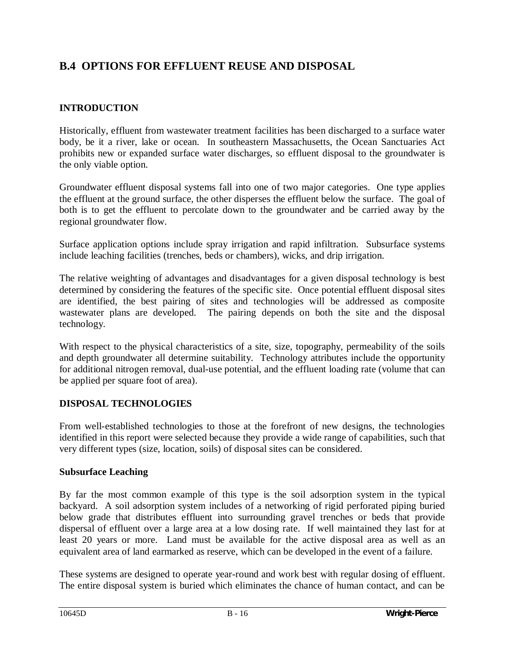# **B.4 OPTIONS FOR EFFLUENT REUSE AND DISPOSAL**

## **INTRODUCTION**

Historically, effluent from wastewater treatment facilities has been discharged to a surface water body, be it a river, lake or ocean. In southeastern Massachusetts, the Ocean Sanctuaries Act prohibits new or expanded surface water discharges, so effluent disposal to the groundwater is the only viable option.

Groundwater effluent disposal systems fall into one of two major categories. One type applies the effluent at the ground surface, the other disperses the effluent below the surface. The goal of both is to get the effluent to percolate down to the groundwater and be carried away by the regional groundwater flow.

Surface application options include spray irrigation and rapid infiltration. Subsurface systems include leaching facilities (trenches, beds or chambers), wicks, and drip irrigation.

The relative weighting of advantages and disadvantages for a given disposal technology is best determined by considering the features of the specific site. Once potential effluent disposal sites are identified, the best pairing of sites and technologies will be addressed as composite wastewater plans are developed. The pairing depends on both the site and the disposal technology.

With respect to the physical characteristics of a site, size, topography, permeability of the soils and depth groundwater all determine suitability. Technology attributes include the opportunity for additional nitrogen removal, dual-use potential, and the effluent loading rate (volume that can be applied per square foot of area).

## **DISPOSAL TECHNOLOGIES**

From well-established technologies to those at the forefront of new designs, the technologies identified in this report were selected because they provide a wide range of capabilities, such that very different types (size, location, soils) of disposal sites can be considered.

## **Subsurface Leaching**

By far the most common example of this type is the soil adsorption system in the typical backyard. A soil adsorption system includes of a networking of rigid perforated piping buried below grade that distributes effluent into surrounding gravel trenches or beds that provide dispersal of effluent over a large area at a low dosing rate. If well maintained they last for at least 20 years or more. Land must be available for the active disposal area as well as an equivalent area of land earmarked as reserve, which can be developed in the event of a failure.

These systems are designed to operate year-round and work best with regular dosing of effluent. The entire disposal system is buried which eliminates the chance of human contact, and can be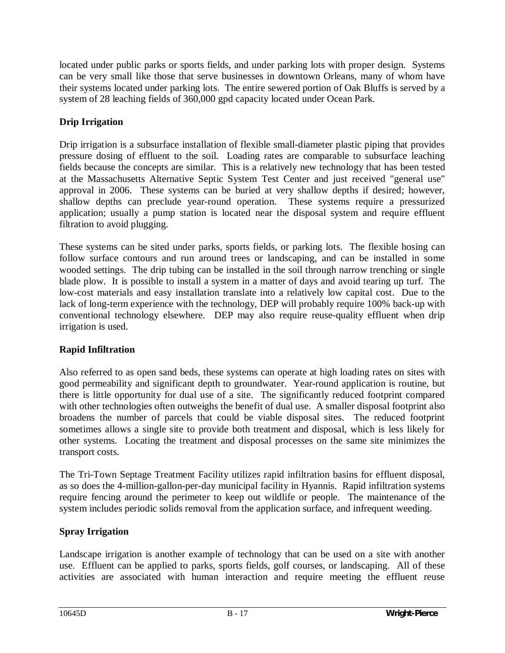located under public parks or sports fields, and under parking lots with proper design. Systems can be very small like those that serve businesses in downtown Orleans, many of whom have their systems located under parking lots. The entire sewered portion of Oak Bluffs is served by a system of 28 leaching fields of 360,000 gpd capacity located under Ocean Park.

## **Drip Irrigation**

Drip irrigation is a subsurface installation of flexible small-diameter plastic piping that provides pressure dosing of effluent to the soil. Loading rates are comparable to subsurface leaching fields because the concepts are similar. This is a relatively new technology that has been tested at the Massachusetts Alternative Septic System Test Center and just received "general use" approval in 2006. These systems can be buried at very shallow depths if desired; however, shallow depths can preclude year-round operation. These systems require a pressurized application; usually a pump station is located near the disposal system and require effluent filtration to avoid plugging.

These systems can be sited under parks, sports fields, or parking lots. The flexible hosing can follow surface contours and run around trees or landscaping, and can be installed in some wooded settings. The drip tubing can be installed in the soil through narrow trenching or single blade plow. It is possible to install a system in a matter of days and avoid tearing up turf. The low-cost materials and easy installation translate into a relatively low capital cost. Due to the lack of long-term experience with the technology, DEP will probably require 100% back-up with conventional technology elsewhere. DEP may also require reuse-quality effluent when drip irrigation is used.

## **Rapid Infiltration**

Also referred to as open sand beds, these systems can operate at high loading rates on sites with good permeability and significant depth to groundwater. Year-round application is routine, but there is little opportunity for dual use of a site. The significantly reduced footprint compared with other technologies often outweighs the benefit of dual use. A smaller disposal footprint also broadens the number of parcels that could be viable disposal sites. The reduced footprint sometimes allows a single site to provide both treatment and disposal, which is less likely for other systems. Locating the treatment and disposal processes on the same site minimizes the transport costs.

The Tri-Town Septage Treatment Facility utilizes rapid infiltration basins for effluent disposal, as so does the 4-million-gallon-per-day municipal facility in Hyannis. Rapid infiltration systems require fencing around the perimeter to keep out wildlife or people. The maintenance of the system includes periodic solids removal from the application surface, and infrequent weeding.

## **Spray Irrigation**

Landscape irrigation is another example of technology that can be used on a site with another use. Effluent can be applied to parks, sports fields, golf courses, or landscaping. All of these activities are associated with human interaction and require meeting the effluent reuse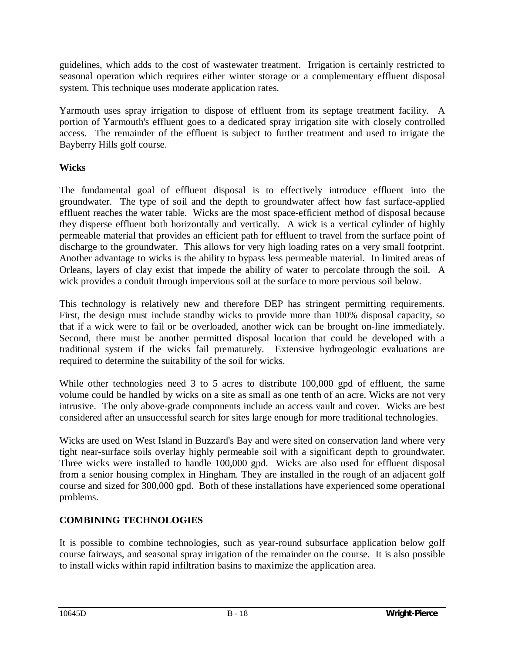guidelines, which adds to the cost of wastewater treatment. Irrigation is certainly restricted to seasonal operation which requires either winter storage or a complementary effluent disposal system. This technique uses moderate application rates.

Yarmouth uses spray irrigation to dispose of effluent from its septage treatment facility. A portion of Yarmouth's effluent goes to a dedicated spray irrigation site with closely controlled access. The remainder of the effluent is subject to further treatment and used to irrigate the Bayberry Hills golf course.

## **Wicks**

The fundamental goal of effluent disposal is to effectively introduce effluent into the groundwater. The type of soil and the depth to groundwater affect how fast surface-applied effluent reaches the water table. Wicks are the most space-efficient method of disposal because they disperse effluent both horizontally and vertically. A wick is a vertical cylinder of highly permeable material that provides an efficient path for effluent to travel from the surface point of discharge to the groundwater. This allows for very high loading rates on a very small footprint. Another advantage to wicks is the ability to bypass less permeable material. In limited areas of Orleans, layers of clay exist that impede the ability of water to percolate through the soil. A wick provides a conduit through impervious soil at the surface to more pervious soil below.

This technology is relatively new and therefore DEP has stringent permitting requirements. First, the design must include standby wicks to provide more than 100% disposal capacity, so that if a wick were to fail or be overloaded, another wick can be brought on-line immediately. Second, there must be another permitted disposal location that could be developed with a traditional system if the wicks fail prematurely. Extensive hydrogeologic evaluations are required to determine the suitability of the soil for wicks.

While other technologies need 3 to 5 acres to distribute 100,000 gpd of effluent, the same volume could be handled by wicks on a site as small as one tenth of an acre. Wicks are not very intrusive. The only above-grade components include an access vault and cover. Wicks are best considered after an unsuccessful search for sites large enough for more traditional technologies.

Wicks are used on West Island in Buzzard's Bay and were sited on conservation land where very tight near-surface soils overlay highly permeable soil with a significant depth to groundwater. Three wicks were installed to handle 100,000 gpd. Wicks are also used for effluent disposal from a senior housing complex in Hingham. They are installed in the rough of an adjacent golf course and sized for 300,000 gpd. Both of these installations have experienced some operational problems.

## **COMBINING TECHNOLOGIES**

It is possible to combine technologies, such as year-round subsurface application below golf course fairways, and seasonal spray irrigation of the remainder on the course. It is also possible to install wicks within rapid infiltration basins to maximize the application area.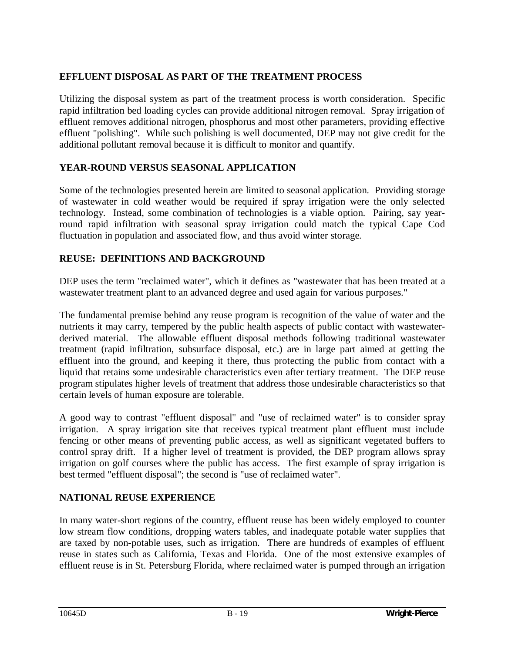## **EFFLUENT DISPOSAL AS PART OF THE TREATMENT PROCESS**

Utilizing the disposal system as part of the treatment process is worth consideration. Specific rapid infiltration bed loading cycles can provide additional nitrogen removal. Spray irrigation of effluent removes additional nitrogen, phosphorus and most other parameters, providing effective effluent "polishing". While such polishing is well documented, DEP may not give credit for the additional pollutant removal because it is difficult to monitor and quantify.

#### **YEAR-ROUND VERSUS SEASONAL APPLICATION**

Some of the technologies presented herein are limited to seasonal application. Providing storage of wastewater in cold weather would be required if spray irrigation were the only selected technology. Instead, some combination of technologies is a viable option. Pairing, say yearround rapid infiltration with seasonal spray irrigation could match the typical Cape Cod fluctuation in population and associated flow, and thus avoid winter storage.

#### **REUSE: DEFINITIONS AND BACKGROUND**

DEP uses the term "reclaimed water", which it defines as "wastewater that has been treated at a wastewater treatment plant to an advanced degree and used again for various purposes."

The fundamental premise behind any reuse program is recognition of the value of water and the nutrients it may carry, tempered by the public health aspects of public contact with wastewaterderived material. The allowable effluent disposal methods following traditional wastewater treatment (rapid infiltration, subsurface disposal, etc.) are in large part aimed at getting the effluent into the ground, and keeping it there, thus protecting the public from contact with a liquid that retains some undesirable characteristics even after tertiary treatment. The DEP reuse program stipulates higher levels of treatment that address those undesirable characteristics so that certain levels of human exposure are tolerable.

A good way to contrast "effluent disposal" and "use of reclaimed water" is to consider spray irrigation. A spray irrigation site that receives typical treatment plant effluent must include fencing or other means of preventing public access, as well as significant vegetated buffers to control spray drift. If a higher level of treatment is provided, the DEP program allows spray irrigation on golf courses where the public has access. The first example of spray irrigation is best termed "effluent disposal"; the second is "use of reclaimed water".

## **NATIONAL REUSE EXPERIENCE**

In many water-short regions of the country, effluent reuse has been widely employed to counter low stream flow conditions, dropping waters tables, and inadequate potable water supplies that are taxed by non-potable uses, such as irrigation. There are hundreds of examples of effluent reuse in states such as California, Texas and Florida. One of the most extensive examples of effluent reuse is in St. Petersburg Florida, where reclaimed water is pumped through an irrigation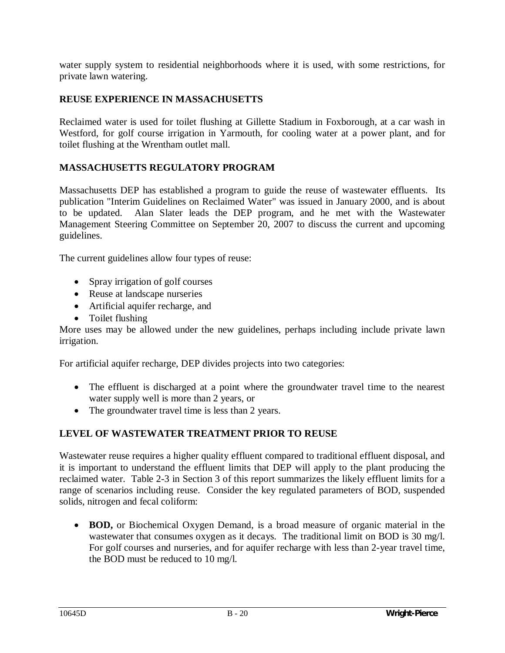water supply system to residential neighborhoods where it is used, with some restrictions, for private lawn watering.

#### **REUSE EXPERIENCE IN MASSACHUSETTS**

Reclaimed water is used for toilet flushing at Gillette Stadium in Foxborough, at a car wash in Westford, for golf course irrigation in Yarmouth, for cooling water at a power plant, and for toilet flushing at the Wrentham outlet mall.

#### **MASSACHUSETTS REGULATORY PROGRAM**

Massachusetts DEP has established a program to guide the reuse of wastewater effluents. Its publication "Interim Guidelines on Reclaimed Water" was issued in January 2000, and is about to be updated. Alan Slater leads the DEP program, and he met with the Wastewater Management Steering Committee on September 20, 2007 to discuss the current and upcoming guidelines.

The current guidelines allow four types of reuse:

- $\bullet$  Spray irrigation of golf courses
- Reuse at landscape nurseries
- Artificial aquifer recharge, and
- Toilet flushing

More uses may be allowed under the new guidelines, perhaps including include private lawn irrigation.

For artificial aquifer recharge, DEP divides projects into two categories:

- The effluent is discharged at a point where the groundwater travel time to the nearest water supply well is more than 2 years, or
- The groundwater travel time is less than 2 years.

#### **LEVEL OF WASTEWATER TREATMENT PRIOR TO REUSE**

Wastewater reuse requires a higher quality effluent compared to traditional effluent disposal, and it is important to understand the effluent limits that DEP will apply to the plant producing the reclaimed water. Table 2-3 in Section 3 of this report summarizes the likely effluent limits for a range of scenarios including reuse. Consider the key regulated parameters of BOD, suspended solids, nitrogen and fecal coliform:

**BOD,** or Biochemical Oxygen Demand, is a broad measure of organic material in the wastewater that consumes oxygen as it decays. The traditional limit on BOD is 30 mg/l. For golf courses and nurseries, and for aquifer recharge with less than 2-year travel time, the BOD must be reduced to 10 mg/l.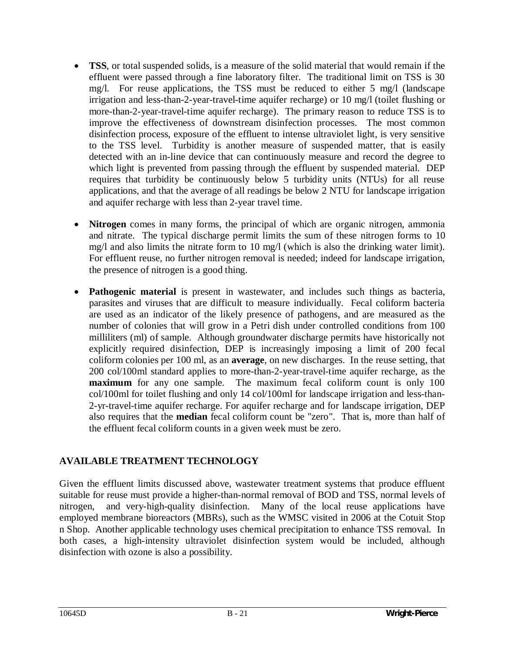- **TSS**, or total suspended solids, is a measure of the solid material that would remain if the effluent were passed through a fine laboratory filter. The traditional limit on TSS is 30 mg/l. For reuse applications, the TSS must be reduced to either 5 mg/l (landscape irrigation and less-than-2-year-travel-time aquifer recharge) or 10 mg/l (toilet flushing or more-than-2-year-travel-time aquifer recharge). The primary reason to reduce TSS is to improve the effectiveness of downstream disinfection processes. The most common disinfection process, exposure of the effluent to intense ultraviolet light, is very sensitive to the TSS level. Turbidity is another measure of suspended matter, that is easily detected with an in-line device that can continuously measure and record the degree to which light is prevented from passing through the effluent by suspended material. DEP requires that turbidity be continuously below 5 turbidity units (NTUs) for all reuse applications, and that the average of all readings be below 2 NTU for landscape irrigation and aquifer recharge with less than 2-year travel time.
- **Nitrogen** comes in many forms, the principal of which are organic nitrogen, ammonia and nitrate. The typical discharge permit limits the sum of these nitrogen forms to 10 mg/l and also limits the nitrate form to 10 mg/l (which is also the drinking water limit). For effluent reuse, no further nitrogen removal is needed; indeed for landscape irrigation, the presence of nitrogen is a good thing.
- **Pathogenic material** is present in wastewater, and includes such things as bacteria, parasites and viruses that are difficult to measure individually. Fecal coliform bacteria are used as an indicator of the likely presence of pathogens, and are measured as the number of colonies that will grow in a Petri dish under controlled conditions from 100 milliliters (ml) of sample. Although groundwater discharge permits have historically not explicitly required disinfection, DEP is increasingly imposing a limit of 200 fecal coliform colonies per 100 ml, as an **average**, on new discharges. In the reuse setting, that 200 col/100ml standard applies to more-than-2-year-travel-time aquifer recharge, as the **maximum** for any one sample. The maximum fecal coliform count is only 100 col/100ml for toilet flushing and only 14 col/100ml for landscape irrigation and less-than-2-yr-travel-time aquifer recharge. For aquifer recharge and for landscape irrigation, DEP also requires that the **median** fecal coliform count be "zero". That is, more than half of the effluent fecal coliform counts in a given week must be zero.

## **AVAILABLE TREATMENT TECHNOLOGY**

Given the effluent limits discussed above, wastewater treatment systems that produce effluent suitable for reuse must provide a higher-than-normal removal of BOD and TSS, normal levels of nitrogen, and very-high-quality disinfection. Many of the local reuse applications have employed membrane bioreactors (MBRs), such as the WMSC visited in 2006 at the Cotuit Stop n Shop. Another applicable technology uses chemical precipitation to enhance TSS removal. In both cases, a high-intensity ultraviolet disinfection system would be included, although disinfection with ozone is also a possibility.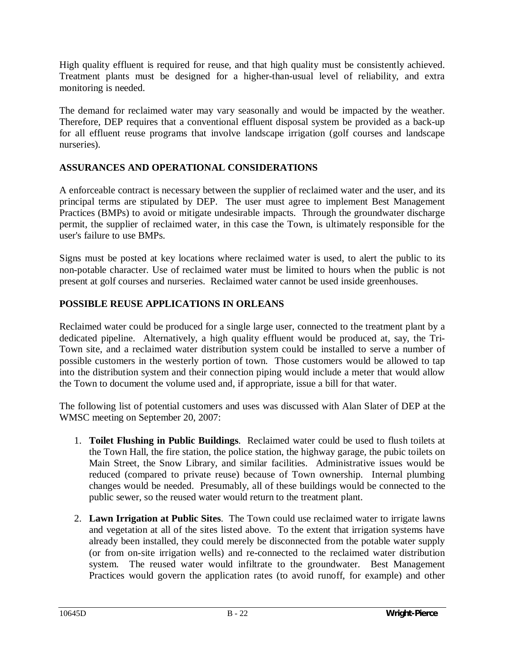High quality effluent is required for reuse, and that high quality must be consistently achieved. Treatment plants must be designed for a higher-than-usual level of reliability, and extra monitoring is needed.

The demand for reclaimed water may vary seasonally and would be impacted by the weather. Therefore, DEP requires that a conventional effluent disposal system be provided as a back-up for all effluent reuse programs that involve landscape irrigation (golf courses and landscape nurseries).

## **ASSURANCES AND OPERATIONAL CONSIDERATIONS**

A enforceable contract is necessary between the supplier of reclaimed water and the user, and its principal terms are stipulated by DEP. The user must agree to implement Best Management Practices (BMPs) to avoid or mitigate undesirable impacts. Through the groundwater discharge permit, the supplier of reclaimed water, in this case the Town, is ultimately responsible for the user's failure to use BMPs.

Signs must be posted at key locations where reclaimed water is used, to alert the public to its non-potable character. Use of reclaimed water must be limited to hours when the public is not present at golf courses and nurseries. Reclaimed water cannot be used inside greenhouses.

## **POSSIBLE REUSE APPLICATIONS IN ORLEANS**

Reclaimed water could be produced for a single large user, connected to the treatment plant by a dedicated pipeline. Alternatively, a high quality effluent would be produced at, say, the Tri-Town site, and a reclaimed water distribution system could be installed to serve a number of possible customers in the westerly portion of town. Those customers would be allowed to tap into the distribution system and their connection piping would include a meter that would allow the Town to document the volume used and, if appropriate, issue a bill for that water.

The following list of potential customers and uses was discussed with Alan Slater of DEP at the WMSC meeting on September 20, 2007:

- 1. **Toilet Flushing in Public Buildings**. Reclaimed water could be used to flush toilets at the Town Hall, the fire station, the police station, the highway garage, the pubic toilets on Main Street, the Snow Library, and similar facilities. Administrative issues would be reduced (compared to private reuse) because of Town ownership. Internal plumbing changes would be needed. Presumably, all of these buildings would be connected to the public sewer, so the reused water would return to the treatment plant.
- 2. **Lawn Irrigation at Public Sites**. The Town could use reclaimed water to irrigate lawns and vegetation at all of the sites listed above. To the extent that irrigation systems have already been installed, they could merely be disconnected from the potable water supply (or from on-site irrigation wells) and re-connected to the reclaimed water distribution system. The reused water would infiltrate to the groundwater. Best Management Practices would govern the application rates (to avoid runoff, for example) and other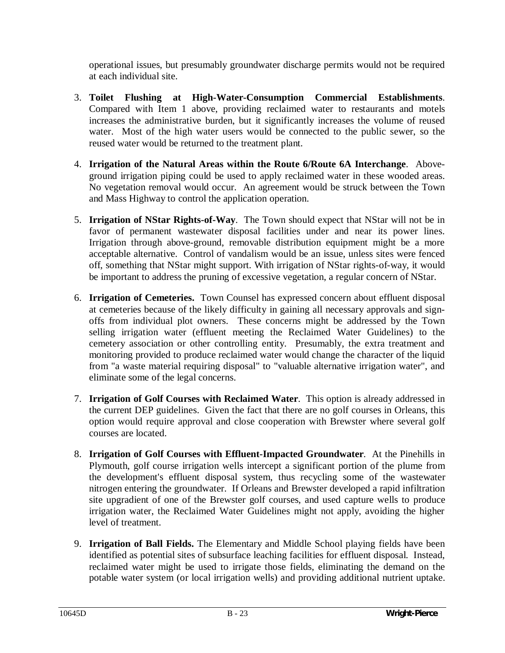operational issues, but presumably groundwater discharge permits would not be required at each individual site.

- 3. **Toilet Flushing at High-Water-Consumption Commercial Establishments**. Compared with Item 1 above, providing reclaimed water to restaurants and motels increases the administrative burden, but it significantly increases the volume of reused water. Most of the high water users would be connected to the public sewer, so the reused water would be returned to the treatment plant.
- 4. **Irrigation of the Natural Areas within the Route 6/Route 6A Interchange**. Aboveground irrigation piping could be used to apply reclaimed water in these wooded areas. No vegetation removal would occur. An agreement would be struck between the Town and Mass Highway to control the application operation.
- 5. **Irrigation of NStar Rights-of-Way**. The Town should expect that NStar will not be in favor of permanent wastewater disposal facilities under and near its power lines. Irrigation through above-ground, removable distribution equipment might be a more acceptable alternative. Control of vandalism would be an issue, unless sites were fenced off, something that NStar might support. With irrigation of NStar rights-of-way, it would be important to address the pruning of excessive vegetation, a regular concern of NStar.
- 6. **Irrigation of Cemeteries.** Town Counsel has expressed concern about effluent disposal at cemeteries because of the likely difficulty in gaining all necessary approvals and signoffs from individual plot owners. These concerns might be addressed by the Town selling irrigation water (effluent meeting the Reclaimed Water Guidelines) to the cemetery association or other controlling entity. Presumably, the extra treatment and monitoring provided to produce reclaimed water would change the character of the liquid from "a waste material requiring disposal" to "valuable alternative irrigation water", and eliminate some of the legal concerns.
- 7. **Irrigation of Golf Courses with Reclaimed Water**. This option is already addressed in the current DEP guidelines. Given the fact that there are no golf courses in Orleans, this option would require approval and close cooperation with Brewster where several golf courses are located.
- 8. **Irrigation of Golf Courses with Effluent-Impacted Groundwater**. At the Pinehills in Plymouth, golf course irrigation wells intercept a significant portion of the plume from the development's effluent disposal system, thus recycling some of the wastewater nitrogen entering the groundwater. If Orleans and Brewster developed a rapid infiltration site upgradient of one of the Brewster golf courses, and used capture wells to produce irrigation water, the Reclaimed Water Guidelines might not apply, avoiding the higher level of treatment.
- 9. **Irrigation of Ball Fields.** The Elementary and Middle School playing fields have been identified as potential sites of subsurface leaching facilities for effluent disposal. Instead, reclaimed water might be used to irrigate those fields, eliminating the demand on the potable water system (or local irrigation wells) and providing additional nutrient uptake.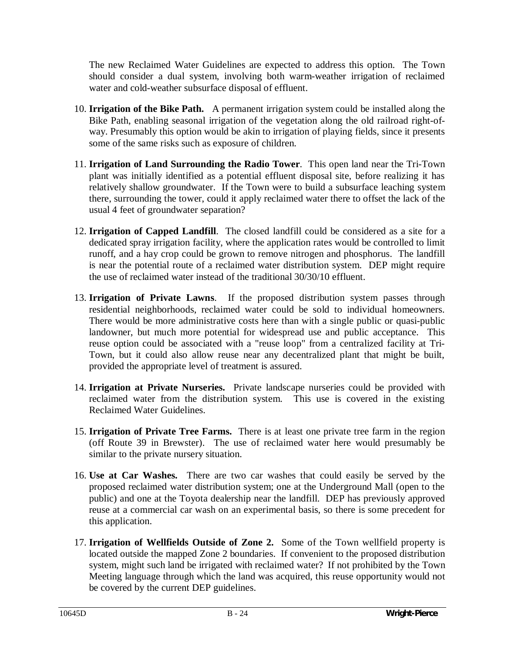The new Reclaimed Water Guidelines are expected to address this option. The Town should consider a dual system, involving both warm-weather irrigation of reclaimed water and cold-weather subsurface disposal of effluent.

- 10. **Irrigation of the Bike Path.** A permanent irrigation system could be installed along the Bike Path, enabling seasonal irrigation of the vegetation along the old railroad right-ofway. Presumably this option would be akin to irrigation of playing fields, since it presents some of the same risks such as exposure of children.
- 11. **Irrigation of Land Surrounding the Radio Tower**. This open land near the Tri-Town plant was initially identified as a potential effluent disposal site, before realizing it has relatively shallow groundwater. If the Town were to build a subsurface leaching system there, surrounding the tower, could it apply reclaimed water there to offset the lack of the usual 4 feet of groundwater separation?
- 12. **Irrigation of Capped Landfill**. The closed landfill could be considered as a site for a dedicated spray irrigation facility, where the application rates would be controlled to limit runoff, and a hay crop could be grown to remove nitrogen and phosphorus. The landfill is near the potential route of a reclaimed water distribution system. DEP might require the use of reclaimed water instead of the traditional 30/30/10 effluent.
- 13. **Irrigation of Private Lawns**. If the proposed distribution system passes through residential neighborhoods, reclaimed water could be sold to individual homeowners. There would be more administrative costs here than with a single public or quasi-public landowner, but much more potential for widespread use and public acceptance. This reuse option could be associated with a "reuse loop" from a centralized facility at Tri-Town, but it could also allow reuse near any decentralized plant that might be built, provided the appropriate level of treatment is assured.
- 14. **Irrigation at Private Nurseries.** Private landscape nurseries could be provided with reclaimed water from the distribution system. This use is covered in the existing Reclaimed Water Guidelines.
- 15. **Irrigation of Private Tree Farms.** There is at least one private tree farm in the region (off Route 39 in Brewster). The use of reclaimed water here would presumably be similar to the private nursery situation.
- 16. **Use at Car Washes.** There are two car washes that could easily be served by the proposed reclaimed water distribution system; one at the Underground Mall (open to the public) and one at the Toyota dealership near the landfill. DEP has previously approved reuse at a commercial car wash on an experimental basis, so there is some precedent for this application.
- 17. **Irrigation of Wellfields Outside of Zone 2.** Some of the Town wellfield property is located outside the mapped Zone 2 boundaries. If convenient to the proposed distribution system, might such land be irrigated with reclaimed water? If not prohibited by the Town Meeting language through which the land was acquired, this reuse opportunity would not be covered by the current DEP guidelines.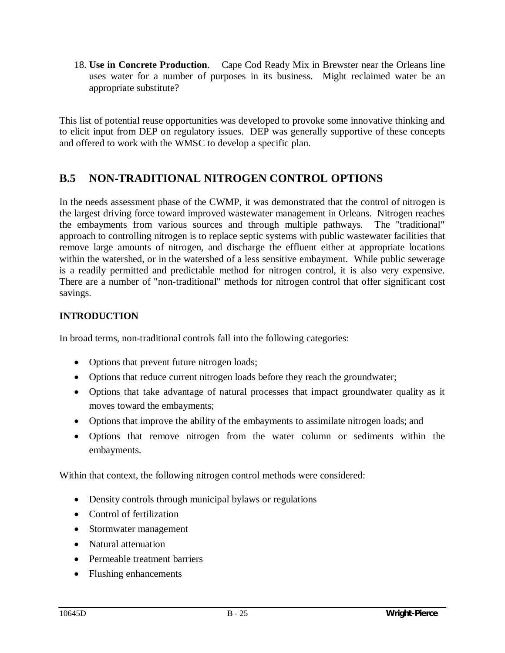18. **Use in Concrete Production**. Cape Cod Ready Mix in Brewster near the Orleans line uses water for a number of purposes in its business. Might reclaimed water be an appropriate substitute?

This list of potential reuse opportunities was developed to provoke some innovative thinking and to elicit input from DEP on regulatory issues. DEP was generally supportive of these concepts and offered to work with the WMSC to develop a specific plan.

# **B.5 NON-TRADITIONAL NITROGEN CONTROL OPTIONS**

In the needs assessment phase of the CWMP, it was demonstrated that the control of nitrogen is the largest driving force toward improved wastewater management in Orleans. Nitrogen reaches the embayments from various sources and through multiple pathways. The "traditional" approach to controlling nitrogen is to replace septic systems with public wastewater facilities that remove large amounts of nitrogen, and discharge the effluent either at appropriate locations within the watershed, or in the watershed of a less sensitive embayment. While public sewerage is a readily permitted and predictable method for nitrogen control, it is also very expensive. There are a number of "non-traditional" methods for nitrogen control that offer significant cost savings.

## **INTRODUCTION**

In broad terms, non-traditional controls fall into the following categories:

- Options that prevent future nitrogen loads;
- Options that reduce current nitrogen loads before they reach the groundwater;
- Options that take advantage of natural processes that impact groundwater quality as it moves toward the embayments;
- Options that improve the ability of the embayments to assimilate nitrogen loads; and
- Options that remove nitrogen from the water column or sediments within the embayments.

Within that context, the following nitrogen control methods were considered:

- $\bullet$  Density controls through municipal bylaws or regulations
- Control of fertilization
- Stormwater management
- Natural attenuation
- Permeable treatment barriers
- Flushing enhancements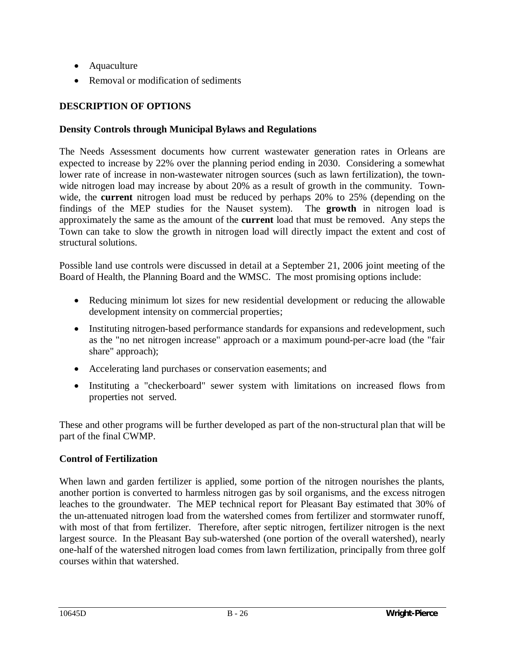- Aquaculture
- Removal or modification of sediments

## **DESCRIPTION OF OPTIONS**

## **Density Controls through Municipal Bylaws and Regulations**

The Needs Assessment documents how current wastewater generation rates in Orleans are expected to increase by 22% over the planning period ending in 2030. Considering a somewhat lower rate of increase in non-wastewater nitrogen sources (such as lawn fertilization), the townwide nitrogen load may increase by about 20% as a result of growth in the community. Townwide, the **current** nitrogen load must be reduced by perhaps 20% to 25% (depending on the findings of the MEP studies for the Nauset system). The **growth** in nitrogen load is approximately the same as the amount of the **current** load that must be removed. Any steps the Town can take to slow the growth in nitrogen load will directly impact the extent and cost of structural solutions.

Possible land use controls were discussed in detail at a September 21, 2006 joint meeting of the Board of Health, the Planning Board and the WMSC. The most promising options include:

- Reducing minimum lot sizes for new residential development or reducing the allowable development intensity on commercial properties;
- Instituting nitrogen-based performance standards for expansions and redevelopment, such as the "no net nitrogen increase" approach or a maximum pound-per-acre load (the "fair share" approach);
- Accelerating land purchases or conservation easements; and
- Instituting a "checkerboard" sewer system with limitations on increased flows from properties not served.

These and other programs will be further developed as part of the non-structural plan that will be part of the final CWMP.

## **Control of Fertilization**

When lawn and garden fertilizer is applied, some portion of the nitrogen nourishes the plants, another portion is converted to harmless nitrogen gas by soil organisms, and the excess nitrogen leaches to the groundwater. The MEP technical report for Pleasant Bay estimated that 30% of the un-attenuated nitrogen load from the watershed comes from fertilizer and stormwater runoff, with most of that from fertilizer. Therefore, after septic nitrogen, fertilizer nitrogen is the next largest source. In the Pleasant Bay sub-watershed (one portion of the overall watershed), nearly one-half of the watershed nitrogen load comes from lawn fertilization, principally from three golf courses within that watershed.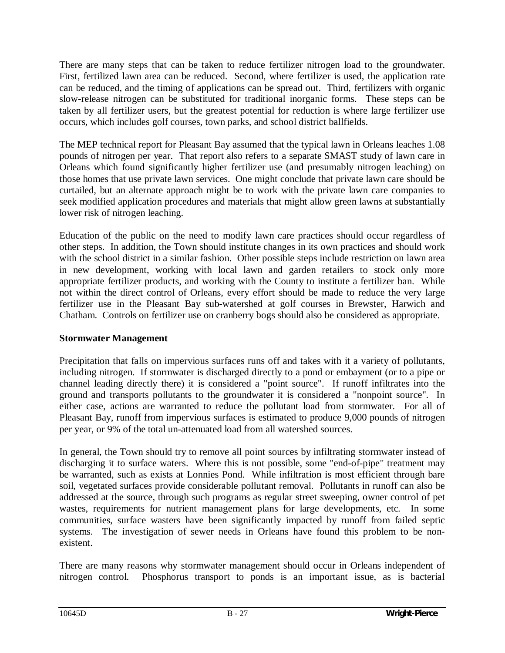There are many steps that can be taken to reduce fertilizer nitrogen load to the groundwater. First, fertilized lawn area can be reduced. Second, where fertilizer is used, the application rate can be reduced, and the timing of applications can be spread out. Third, fertilizers with organic slow-release nitrogen can be substituted for traditional inorganic forms. These steps can be taken by all fertilizer users, but the greatest potential for reduction is where large fertilizer use occurs, which includes golf courses, town parks, and school district ballfields.

The MEP technical report for Pleasant Bay assumed that the typical lawn in Orleans leaches 1.08 pounds of nitrogen per year. That report also refers to a separate SMAST study of lawn care in Orleans which found significantly higher fertilizer use (and presumably nitrogen leaching) on those homes that use private lawn services. One might conclude that private lawn care should be curtailed, but an alternate approach might be to work with the private lawn care companies to seek modified application procedures and materials that might allow green lawns at substantially lower risk of nitrogen leaching.

Education of the public on the need to modify lawn care practices should occur regardless of other steps. In addition, the Town should institute changes in its own practices and should work with the school district in a similar fashion. Other possible steps include restriction on lawn area in new development, working with local lawn and garden retailers to stock only more appropriate fertilizer products, and working with the County to institute a fertilizer ban. While not within the direct control of Orleans, every effort should be made to reduce the very large fertilizer use in the Pleasant Bay sub-watershed at golf courses in Brewster, Harwich and Chatham. Controls on fertilizer use on cranberry bogs should also be considered as appropriate.

## **Stormwater Management**

Precipitation that falls on impervious surfaces runs off and takes with it a variety of pollutants, including nitrogen. If stormwater is discharged directly to a pond or embayment (or to a pipe or channel leading directly there) it is considered a "point source". If runoff infiltrates into the ground and transports pollutants to the groundwater it is considered a "nonpoint source". In either case, actions are warranted to reduce the pollutant load from stormwater. For all of Pleasant Bay, runoff from impervious surfaces is estimated to produce 9,000 pounds of nitrogen per year, or 9% of the total un-attenuated load from all watershed sources.

In general, the Town should try to remove all point sources by infiltrating stormwater instead of discharging it to surface waters. Where this is not possible, some "end-of-pipe" treatment may be warranted, such as exists at Lonnies Pond. While infiltration is most efficient through bare soil, vegetated surfaces provide considerable pollutant removal. Pollutants in runoff can also be addressed at the source, through such programs as regular street sweeping, owner control of pet wastes, requirements for nutrient management plans for large developments, etc. In some communities, surface wasters have been significantly impacted by runoff from failed septic systems. The investigation of sewer needs in Orleans have found this problem to be nonexistent.

There are many reasons why stormwater management should occur in Orleans independent of nitrogen control. Phosphorus transport to ponds is an important issue, as is bacterial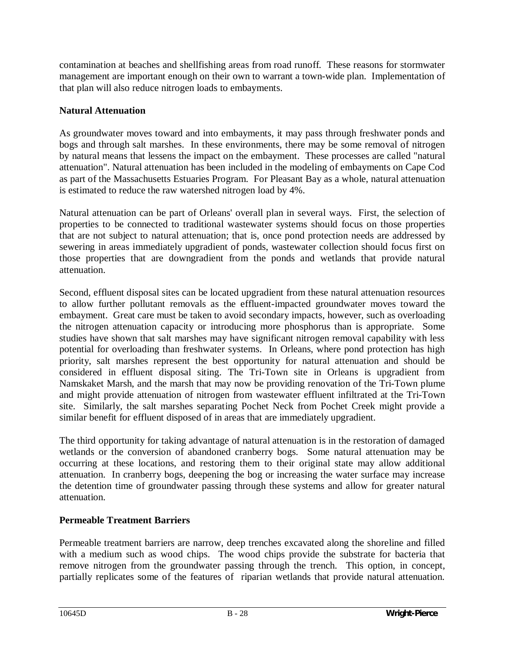contamination at beaches and shellfishing areas from road runoff. These reasons for stormwater management are important enough on their own to warrant a town-wide plan. Implementation of that plan will also reduce nitrogen loads to embayments.

## **Natural Attenuation**

As groundwater moves toward and into embayments, it may pass through freshwater ponds and bogs and through salt marshes. In these environments, there may be some removal of nitrogen by natural means that lessens the impact on the embayment. These processes are called "natural attenuation". Natural attenuation has been included in the modeling of embayments on Cape Cod as part of the Massachusetts Estuaries Program. For Pleasant Bay as a whole, natural attenuation is estimated to reduce the raw watershed nitrogen load by 4%.

Natural attenuation can be part of Orleans' overall plan in several ways. First, the selection of properties to be connected to traditional wastewater systems should focus on those properties that are not subject to natural attenuation; that is, once pond protection needs are addressed by sewering in areas immediately upgradient of ponds, wastewater collection should focus first on those properties that are downgradient from the ponds and wetlands that provide natural attenuation.

Second, effluent disposal sites can be located upgradient from these natural attenuation resources to allow further pollutant removals as the effluent-impacted groundwater moves toward the embayment. Great care must be taken to avoid secondary impacts, however, such as overloading the nitrogen attenuation capacity or introducing more phosphorus than is appropriate. Some studies have shown that salt marshes may have significant nitrogen removal capability with less potential for overloading than freshwater systems. In Orleans, where pond protection has high priority, salt marshes represent the best opportunity for natural attenuation and should be considered in effluent disposal siting. The Tri-Town site in Orleans is upgradient from Namskaket Marsh, and the marsh that may now be providing renovation of the Tri-Town plume and might provide attenuation of nitrogen from wastewater effluent infiltrated at the Tri-Town site. Similarly, the salt marshes separating Pochet Neck from Pochet Creek might provide a similar benefit for effluent disposed of in areas that are immediately upgradient.

The third opportunity for taking advantage of natural attenuation is in the restoration of damaged wetlands or the conversion of abandoned cranberry bogs. Some natural attenuation may be occurring at these locations, and restoring them to their original state may allow additional attenuation. In cranberry bogs, deepening the bog or increasing the water surface may increase the detention time of groundwater passing through these systems and allow for greater natural attenuation.

## **Permeable Treatment Barriers**

Permeable treatment barriers are narrow, deep trenches excavated along the shoreline and filled with a medium such as wood chips. The wood chips provide the substrate for bacteria that remove nitrogen from the groundwater passing through the trench. This option, in concept, partially replicates some of the features of riparian wetlands that provide natural attenuation.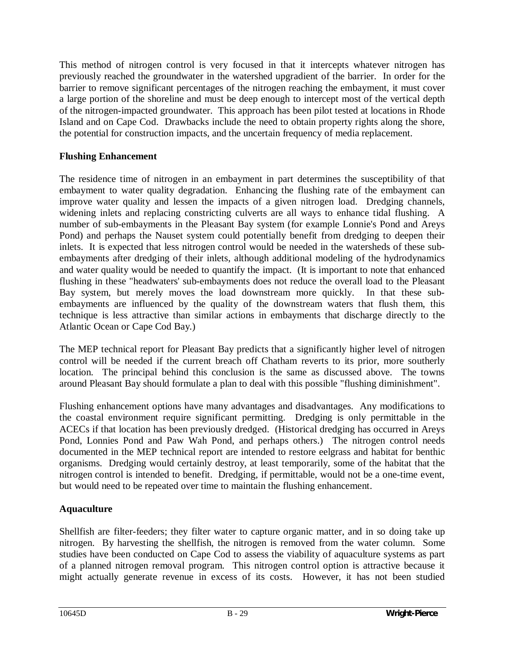This method of nitrogen control is very focused in that it intercepts whatever nitrogen has previously reached the groundwater in the watershed upgradient of the barrier. In order for the barrier to remove significant percentages of the nitrogen reaching the embayment, it must cover a large portion of the shoreline and must be deep enough to intercept most of the vertical depth of the nitrogen-impacted groundwater. This approach has been pilot tested at locations in Rhode Island and on Cape Cod. Drawbacks include the need to obtain property rights along the shore, the potential for construction impacts, and the uncertain frequency of media replacement.

## **Flushing Enhancement**

The residence time of nitrogen in an embayment in part determines the susceptibility of that embayment to water quality degradation. Enhancing the flushing rate of the embayment can improve water quality and lessen the impacts of a given nitrogen load. Dredging channels, widening inlets and replacing constricting culverts are all ways to enhance tidal flushing. A number of sub-embayments in the Pleasant Bay system (for example Lonnie's Pond and Areys Pond) and perhaps the Nauset system could potentially benefit from dredging to deepen their inlets. It is expected that less nitrogen control would be needed in the watersheds of these subembayments after dredging of their inlets, although additional modeling of the hydrodynamics and water quality would be needed to quantify the impact. (It is important to note that enhanced flushing in these "headwaters' sub-embayments does not reduce the overall load to the Pleasant Bay system, but merely moves the load downstream more quickly. In that these subembayments are influenced by the quality of the downstream waters that flush them, this technique is less attractive than similar actions in embayments that discharge directly to the Atlantic Ocean or Cape Cod Bay.)

The MEP technical report for Pleasant Bay predicts that a significantly higher level of nitrogen control will be needed if the current breach off Chatham reverts to its prior, more southerly location. The principal behind this conclusion is the same as discussed above. The towns around Pleasant Bay should formulate a plan to deal with this possible "flushing diminishment".

Flushing enhancement options have many advantages and disadvantages. Any modifications to the coastal environment require significant permitting. Dredging is only permittable in the ACECs if that location has been previously dredged. (Historical dredging has occurred in Areys Pond, Lonnies Pond and Paw Wah Pond, and perhaps others.) The nitrogen control needs documented in the MEP technical report are intended to restore eelgrass and habitat for benthic organisms. Dredging would certainly destroy, at least temporarily, some of the habitat that the nitrogen control is intended to benefit. Dredging, if permittable, would not be a one-time event, but would need to be repeated over time to maintain the flushing enhancement.

## **Aquaculture**

Shellfish are filter-feeders; they filter water to capture organic matter, and in so doing take up nitrogen. By harvesting the shellfish, the nitrogen is removed from the water column. Some studies have been conducted on Cape Cod to assess the viability of aquaculture systems as part of a planned nitrogen removal program. This nitrogen control option is attractive because it might actually generate revenue in excess of its costs. However, it has not been studied